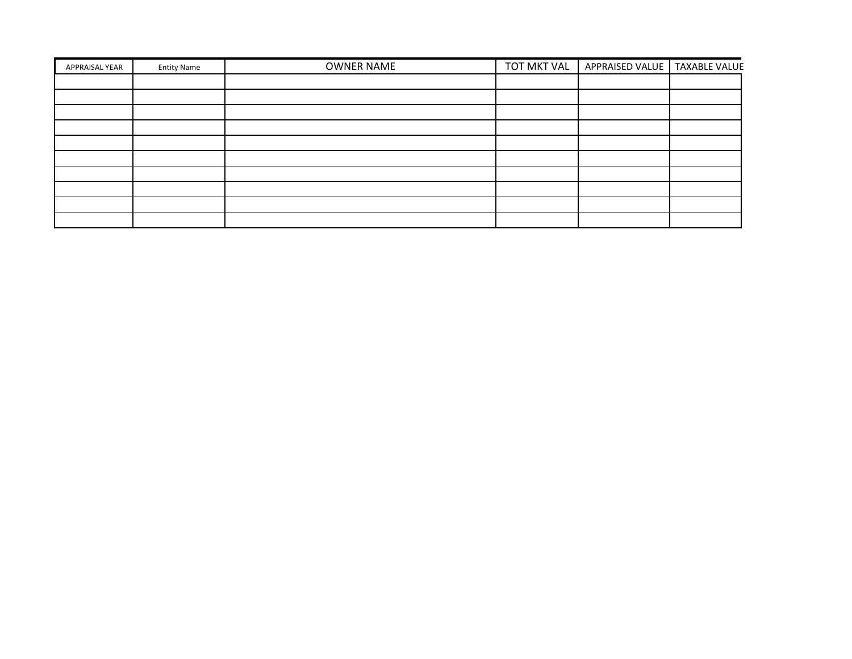| APPRAISAL YEAR | <b>Entity Name</b> | <b>OWNER NAME</b> | TOT MKT VAL | APPRAISED VALUE | <b>TAXABLE VALUE</b> |
|----------------|--------------------|-------------------|-------------|-----------------|----------------------|
|                |                    |                   |             |                 |                      |
|                |                    |                   |             |                 |                      |
|                |                    |                   |             |                 |                      |
|                |                    |                   |             |                 |                      |
|                |                    |                   |             |                 |                      |
|                |                    |                   |             |                 |                      |
|                |                    |                   |             |                 |                      |
|                |                    |                   |             |                 |                      |
|                |                    |                   |             |                 |                      |
|                |                    |                   |             |                 |                      |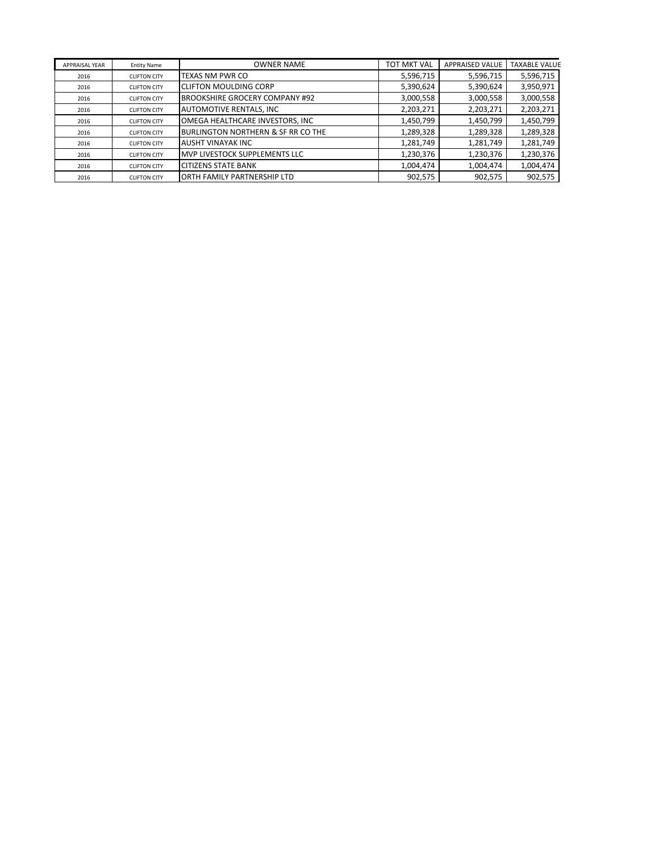| <b>APPRAISAL YEAR</b> | <b>Entity Name</b>  | <b>OWNER NAME</b>                     | <b>TOT MKT VAL</b> | <b>APPRAISED VALUE</b> | <b>TAXABLE VALUE</b> |
|-----------------------|---------------------|---------------------------------------|--------------------|------------------------|----------------------|
| 2016                  | <b>CLIFTON CITY</b> | TEXAS NM PWR CO                       | 5,596,715          | 5,596,715              | 5,596,715            |
| 2016                  | <b>CLIFTON CITY</b> | <b>CLIFTON MOULDING CORP</b>          | 5,390,624          | 5,390,624              | 3,950,971            |
| 2016                  | <b>CLIFTON CITY</b> | <b>BROOKSHIRE GROCERY COMPANY #92</b> | 3,000,558          | 3,000,558              | 3,000,558            |
| 2016                  | <b>CLIFTON CITY</b> | <b>AUTOMOTIVE RENTALS, INC</b>        | 2,203,271          | 2,203,271              | 2,203,271            |
| 2016                  | <b>CLIFTON CITY</b> | OMEGA HEALTHCARE INVESTORS, INC       | 1,450,799          | 1,450,799              | 1,450,799            |
| 2016                  | <b>CLIFTON CITY</b> | BURLINGTON NORTHERN & SF RR CO THE    | 1,289,328          | 1,289,328              | 1,289,328            |
| 2016                  | <b>CLIFTON CITY</b> | <b>AUSHT VINAYAK INC</b>              | 1,281,749          | 1,281,749              | 1,281,749            |
| 2016                  | <b>CLIFTON CITY</b> | MVP LIVESTOCK SUPPLEMENTS LLC         | 1,230,376          | 1,230,376              | 1,230,376            |
| 2016                  | <b>CLIFTON CITY</b> | <b>CITIZENS STATE BANK</b>            | 1,004,474          | 1,004,474              | 1,004,474            |
| 2016                  | <b>CLIFTON CITY</b> | ORTH FAMILY PARTNERSHIP LTD           | 902,575            | 902,575                | 902,575              |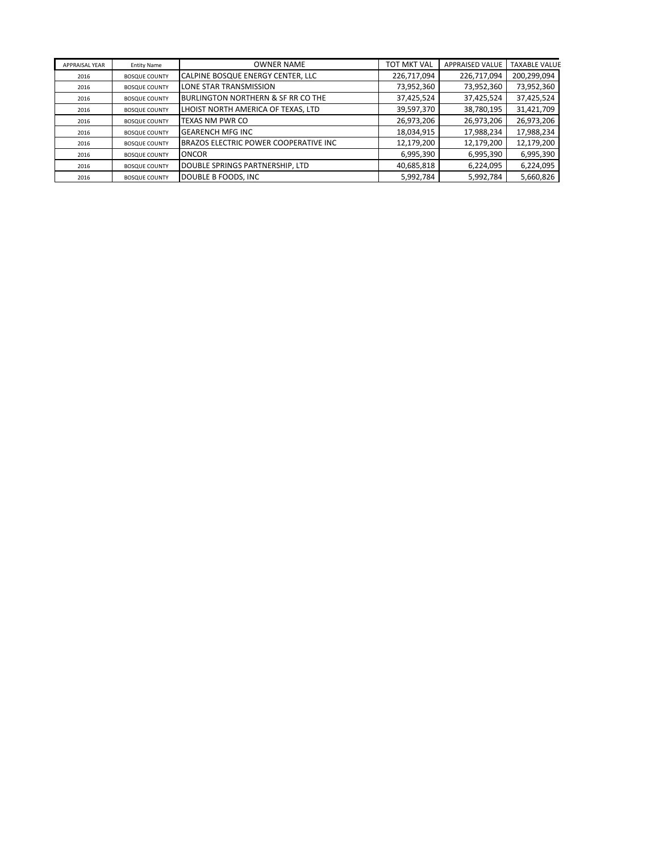| <b>APPRAISAL YEAR</b> | <b>Entity Name</b>   | <b>OWNER NAME</b>                             | <b>TOT MKT VAL</b> | <b>APPRAISED VALUE</b> | <b>TAXABLE VALUE</b> |
|-----------------------|----------------------|-----------------------------------------------|--------------------|------------------------|----------------------|
| 2016                  | <b>BOSQUE COUNTY</b> | CALPINE BOSQUE ENERGY CENTER, LLC             | 226,717,094        | 226,717,094            | 200,299,094          |
| 2016                  | <b>BOSQUE COUNTY</b> | LONE STAR TRANSMISSION                        | 73,952,360         | 73,952,360             | 73,952,360           |
| 2016                  | <b>BOSQUE COUNTY</b> | <b>BURLINGTON NORTHERN &amp; SF RR CO THE</b> | 37,425,524         | 37,425,524             | 37,425,524           |
| 2016                  | <b>BOSQUE COUNTY</b> | LHOIST NORTH AMERICA OF TEXAS, LTD            | 39,597,370         | 38,780,195             | 31,421,709           |
| 2016                  | <b>BOSQUE COUNTY</b> | <b>TEXAS NM PWR CO</b>                        | 26,973,206         | 26,973,206             | 26,973,206           |
| 2016                  | <b>BOSQUE COUNTY</b> | <b>GEARENCH MFG INC</b>                       | 18,034,915         | 17,988,234             | 17,988,234           |
| 2016                  | <b>BOSQUE COUNTY</b> | BRAZOS ELECTRIC POWER COOPERATIVE INC         | 12,179,200         | 12,179,200             | 12,179,200           |
| 2016                  | <b>BOSQUE COUNTY</b> | <b>ONCOR</b>                                  | 6,995,390          | 6,995,390              | 6,995,390            |
| 2016                  | <b>BOSQUE COUNTY</b> | DOUBLE SPRINGS PARTNERSHIP, LTD               | 40,685,818         | 6,224,095              | 6,224,095            |
| 2016                  | <b>BOSQUE COUNTY</b> | DOUBLE B FOODS, INC                           | 5,992,784          | 5,992,784              | 5,660,826            |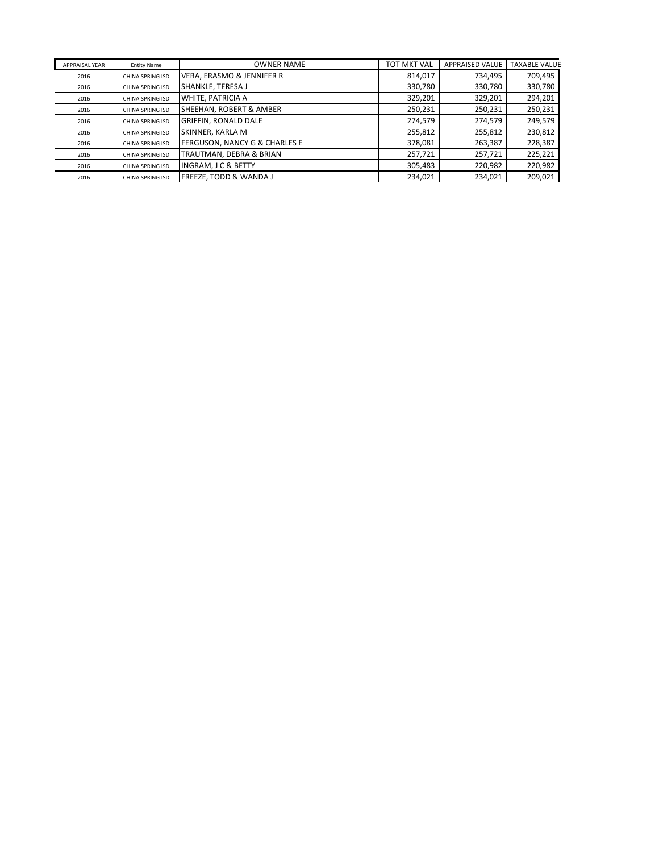| <b>APPRAISAL YEAR</b> | <b>Entity Name</b>      | <b>OWNER NAME</b>                 | <b>TOT MKT VAL</b> | <b>APPRAISED VALUE</b> | <b>TAXABLE VALUE</b> |
|-----------------------|-------------------------|-----------------------------------|--------------------|------------------------|----------------------|
| 2016                  | <b>CHINA SPRING ISD</b> | VERA, ERASMO & JENNIFER R         | 814,017            | 734,495                | 709,495              |
| 2016                  | CHINA SPRING ISD        | SHANKLE, TERESA J                 | 330,780            | 330,780                | 330,780              |
| 2016                  | CHINA SPRING ISD        | WHITE, PATRICIA A                 | 329,201            | 329,201                | 294,201              |
| 2016                  | <b>CHINA SPRING ISD</b> | SHEEHAN, ROBERT & AMBER           | 250,231            | 250,231                | 250,231              |
| 2016                  | <b>CHINA SPRING ISD</b> | <b>GRIFFIN, RONALD DALE</b>       | 274,579            | 274,579                | 249,579              |
| 2016                  | CHINA SPRING ISD        | SKINNER, KARLA M                  | 255,812            | 255,812                | 230,812              |
| 2016                  | <b>CHINA SPRING ISD</b> | FERGUSON, NANCY G & CHARLES E     | 378,081            | 263,387                | 228,387              |
| 2016                  | CHINA SPRING ISD        | TRAUTMAN, DEBRA & BRIAN           | 257,721            | 257,721                | 225,221              |
| 2016                  | CHINA SPRING ISD        | INGRAM, J C & BETTY               | 305,483            | 220,982                | 220,982              |
| 2016                  | <b>CHINA SPRING ISD</b> | <b>FREEZE. TODD &amp; WANDA J</b> | 234,021            | 234,021                | 209,021              |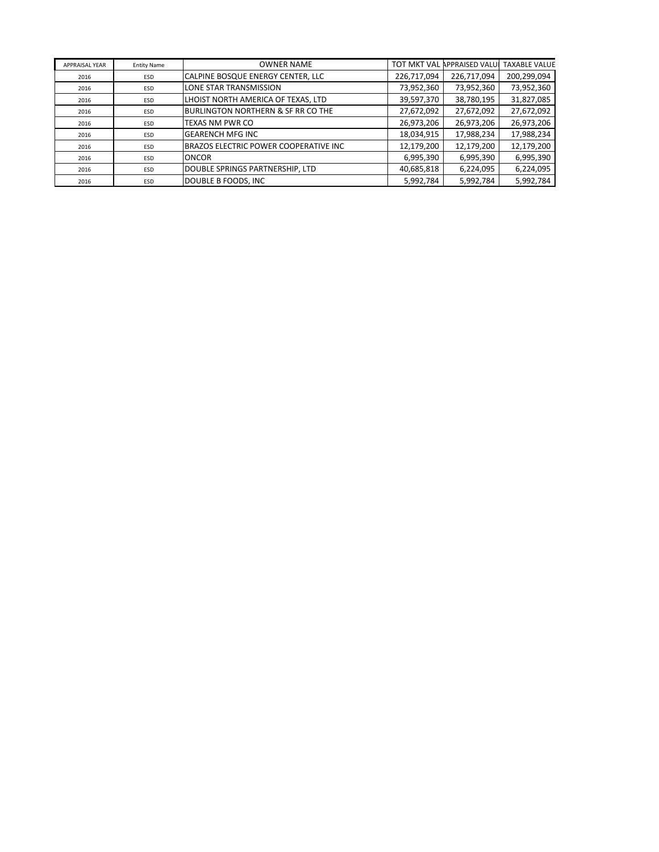| <b>APPRAISAL YEAR</b> | <b>Entity Name</b> | <b>OWNER NAME</b>                             |             | TOT MKT VAL APPRAISED VALUI | <b>TAXABLE VALUE</b> |
|-----------------------|--------------------|-----------------------------------------------|-------------|-----------------------------|----------------------|
| 2016                  | ESD                | CALPINE BOSQUE ENERGY CENTER, LLC             | 226,717,094 | 226,717,094                 | 200,299,094          |
| 2016                  | ESD                | <b>LONE STAR TRANSMISSION</b>                 | 73,952,360  | 73,952,360                  | 73,952,360           |
| 2016                  | ESD                | LHOIST NORTH AMERICA OF TEXAS, LTD            | 39,597,370  | 38,780,195                  | 31,827,085           |
| 2016                  | ESD                | BURLINGTON NORTHERN & SF RR CO THE            | 27,672,092  | 27,672,092                  | 27,672,092           |
| 2016                  | ESD                | TEXAS NM PWR CO                               | 26,973,206  | 26,973,206                  | 26,973,206           |
| 2016                  | ESD                | <b>GEARENCH MFG INC</b>                       | 18,034,915  | 17,988,234                  | 17,988,234           |
| 2016                  | ESD                | <b>BRAZOS ELECTRIC POWER COOPERATIVE INC.</b> | 12,179,200  | 12,179,200                  | 12,179,200           |
| 2016                  | ESD                | <b>ONCOR</b>                                  | 6,995,390   | 6,995,390                   | 6,995,390            |
| 2016                  | ESD                | DOUBLE SPRINGS PARTNERSHIP, LTD               | 40,685,818  | 6,224,095                   | 6,224,095            |
| 2016                  | <b>ESD</b>         | DOUBLE B FOODS, INC                           | 5,992,784   | 5,992,784                   | 5,992,784            |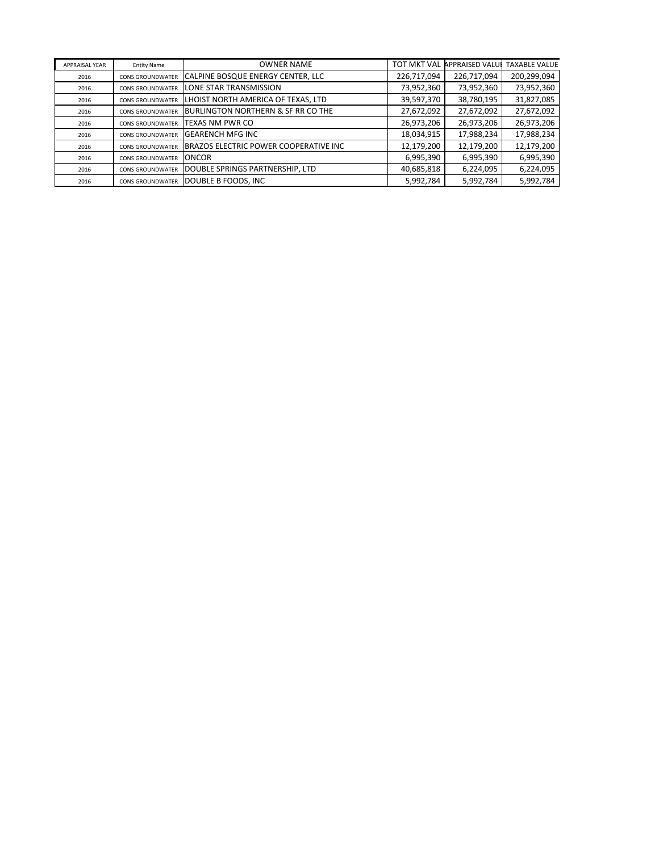| <b>APPRAISAL YEAR</b> | <b>Entity Name</b>      | <b>OWNER NAME</b>                             | <b>TOT MKT VAL</b> | <b>APPRAISED VALUE</b> | <b>TAXABLE VALUE</b> |
|-----------------------|-------------------------|-----------------------------------------------|--------------------|------------------------|----------------------|
| 2016                  | <b>CONS GROUNDWATER</b> | CALPINE BOSQUE ENERGY CENTER, LLC             | 226,717,094        | 226,717,094            | 200,299,094          |
| 2016                  | <b>CONS GROUNDWATER</b> | <b>LONE STAR TRANSMISSION</b>                 | 73,952,360         | 73,952,360             | 73,952,360           |
| 2016                  | <b>CONS GROUNDWATER</b> | LHOIST NORTH AMERICA OF TEXAS, LTD            | 39,597,370         | 38,780,195             | 31,827,085           |
| 2016                  | <b>CONS GROUNDWATER</b> | <b>BURLINGTON NORTHERN &amp; SF RR CO THE</b> | 27,672,092         | 27,672,092             | 27,672,092           |
| 2016                  | <b>CONS GROUNDWATER</b> | <b>TEXAS NM PWR CO</b>                        | 26,973,206         | 26,973,206             | 26,973,206           |
| 2016                  | <b>CONS GROUNDWATER</b> | IGEARENCH MFG INC                             | 18,034,915         | 17,988,234             | 17,988,234           |
| 2016                  | <b>CONS GROUNDWATER</b> | BRAZOS ELECTRIC POWER COOPERATIVE INC         | 12,179,200         | 12,179,200             | 12,179,200           |
| 2016                  | <b>CONS GROUNDWATER</b> | <b>ONCOR</b>                                  | 6,995,390          | 6,995,390              | 6,995,390            |
| 2016                  | <b>CONS GROUNDWATER</b> | DOUBLE SPRINGS PARTNERSHIP, LTD               | 40,685,818         | 6,224,095              | 6,224,095            |
| 2016                  | <b>CONS GROUNDWATER</b> | DOUBLE B FOODS, INC                           | 5,992,784          | 5,992,784              | 5,992,784            |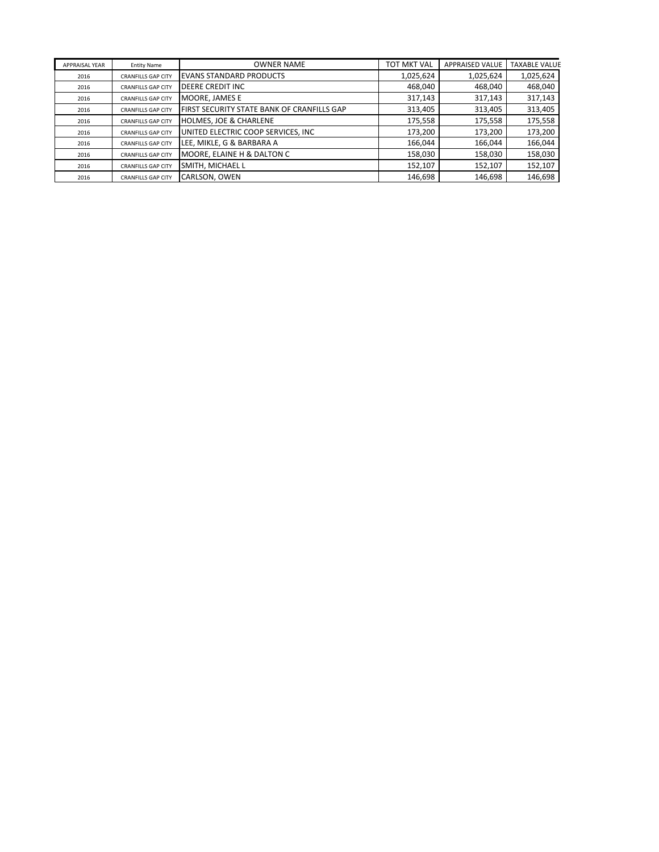| <b>APPRAISAL YEAR</b> | <b>Entity Name</b>        | <b>OWNER NAME</b>                          | <b>TOT MKT VAL</b> | <b>APPRAISED VALUE</b> | <b>TAXABLE VALUE</b> |
|-----------------------|---------------------------|--------------------------------------------|--------------------|------------------------|----------------------|
| 2016                  | <b>CRANFILLS GAP CITY</b> | <b>EVANS STANDARD PRODUCTS</b>             | 1,025,624          | 1,025,624              | 1,025,624            |
| 2016                  | <b>CRANFILLS GAP CITY</b> | <b>DEERE CREDIT INC</b>                    | 468,040            | 468,040                | 468,040              |
| 2016                  | <b>CRANFILLS GAP CITY</b> | MOORE, JAMES E                             | 317,143            | 317,143                | 317,143              |
| 2016                  | <b>CRANFILLS GAP CITY</b> | FIRST SECURITY STATE BANK OF CRANFILLS GAP | 313,405            | 313,405                | 313,405              |
| 2016                  | <b>CRANFILLS GAP CITY</b> | <b>HOLMES, JOE &amp; CHARLENE</b>          | 175,558            | 175,558                | 175,558              |
| 2016                  | <b>CRANFILLS GAP CITY</b> | UNITED ELECTRIC COOP SERVICES, INC         | 173,200            | 173,200                | 173,200              |
| 2016                  | <b>CRANFILLS GAP CITY</b> | LEE, MIKLE, G & BARBARA A                  | 166,044            | 166,044                | 166,044              |
| 2016                  | <b>CRANFILLS GAP CITY</b> | MOORE, ELAINE H & DALTON C                 | 158,030            | 158,030                | 158,030              |
| 2016                  | <b>CRANFILLS GAP CITY</b> | SMITH, MICHAEL L                           | 152,107            | 152,107                | 152,107              |
| 2016                  | <b>CRANFILLS GAP CITY</b> | <b>CARLSON, OWEN</b>                       | 146,698            | 146,698                | 146,698              |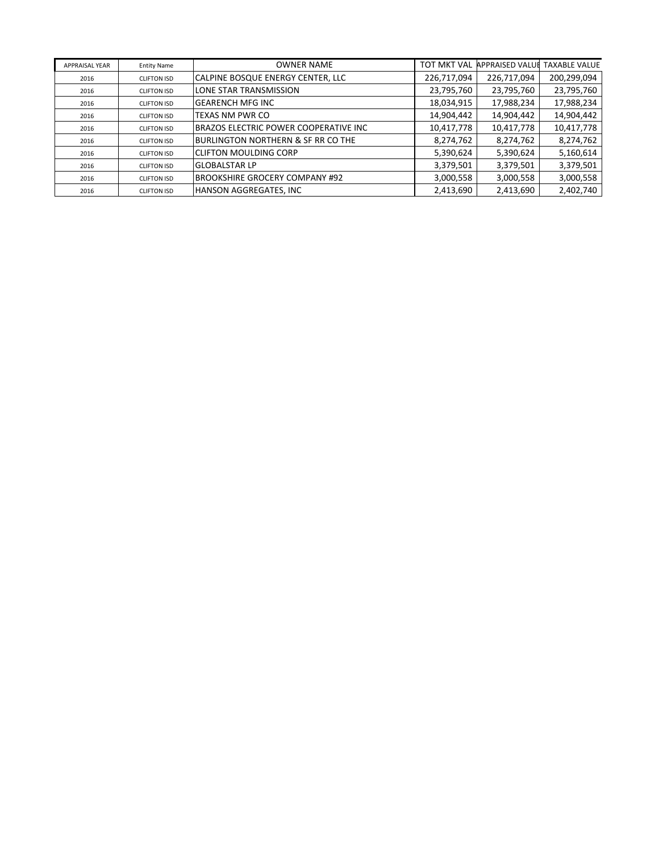| <b>APPRAISAL YEAR</b> | <b>Entity Name</b> | <b>OWNER NAME</b>                             | <b>TOT MKT VAL</b> | <b>APPRAISED VALUE</b> | <b>TAXABLE VALUE</b> |
|-----------------------|--------------------|-----------------------------------------------|--------------------|------------------------|----------------------|
| 2016                  | <b>CLIFTON ISD</b> | CALPINE BOSQUE ENERGY CENTER, LLC             | 226,717,094        | 226,717,094            | 200,299,094          |
| 2016                  | <b>CLIFTON ISD</b> | <b>LONE STAR TRANSMISSION</b>                 | 23,795,760         | 23,795,760             | 23,795,760           |
| 2016                  | <b>CLIFTON ISD</b> | <b>GEARENCH MFG INC</b>                       | 18,034,915         | 17,988,234             | 17,988,234           |
| 2016                  | <b>CLIFTON ISD</b> | TEXAS NM PWR CO                               | 14,904,442         | 14,904,442             | 14,904,442           |
| 2016                  | <b>CLIFTON ISD</b> | <b>BRAZOS ELECTRIC POWER COOPERATIVE INC</b>  | 10,417,778         | 10,417,778             | 10,417,778           |
| 2016                  | <b>CLIFTON ISD</b> | <b>BURLINGTON NORTHERN &amp; SF RR CO THE</b> | 8,274,762          | 8,274,762              | 8,274,762            |
| 2016                  | <b>CLIFTON ISD</b> | ICLIFTON MOULDING CORP                        | 5,390,624          | 5,390,624              | 5,160,614            |
| 2016                  | <b>CLIFTON ISD</b> | <b>GLOBALSTAR LP</b>                          | 3,379,501          | 3,379,501              | 3,379,501            |
| 2016                  | <b>CLIFTON ISD</b> | <b>BROOKSHIRE GROCERY COMPANY #92</b>         | 3,000,558          | 3,000,558              | 3,000,558            |
| 2016                  | <b>CLIFTON ISD</b> | <b>HANSON AGGREGATES, INC</b>                 | 2,413,690          | 2,413,690              | 2,402,740            |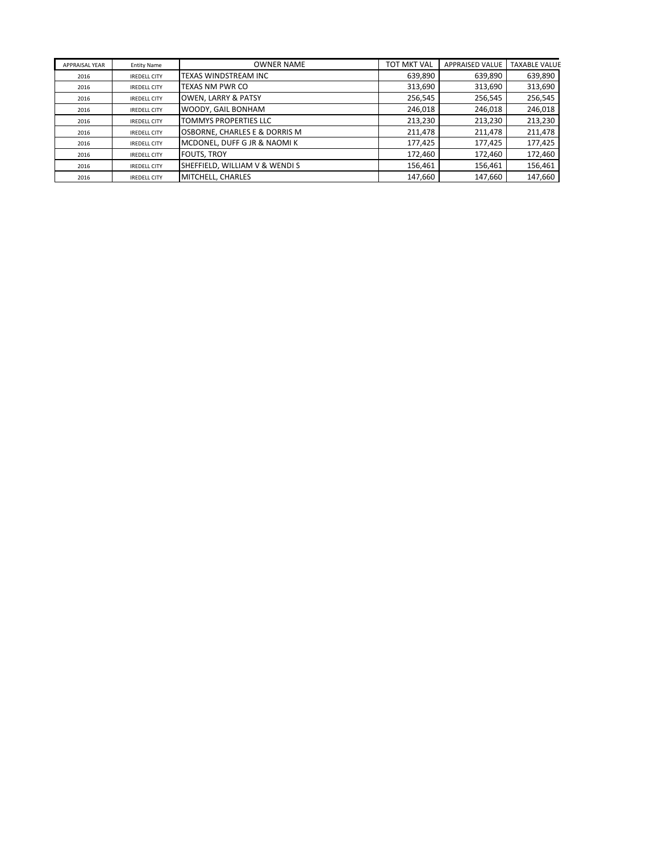| <b>APPRAISAL YEAR</b> | <b>Entity Name</b>  | <b>OWNER NAME</b>              | <b>TOT MKT VAL</b> | <b>APPRAISED VALUE</b> | <b>TAXABLE VALUE</b> |
|-----------------------|---------------------|--------------------------------|--------------------|------------------------|----------------------|
| 2016                  | <b>IREDELL CITY</b> | TEXAS WINDSTREAM INC           | 639,890            | 639,890                | 639,890              |
| 2016                  | <b>IREDELL CITY</b> | TEXAS NM PWR CO                | 313,690            | 313,690                | 313,690              |
| 2016                  | <b>IREDELL CITY</b> | <b>OWEN, LARRY &amp; PATSY</b> | 256,545            | 256,545                | 256,545              |
| 2016                  | <b>IREDELL CITY</b> | WOODY, GAIL BONHAM             | 246,018            | 246,018                | 246,018              |
| 2016                  | <b>IREDELL CITY</b> | <b>TOMMYS PROPERTIES LLC</b>   | 213,230            | 213,230                | 213,230              |
| 2016                  | <b>IREDELL CITY</b> | OSBORNE, CHARLES E & DORRIS M  | 211,478            | 211,478                | 211,478              |
| 2016                  | <b>IREDELL CITY</b> | MCDONEL, DUFF G JR & NAOMIK    | 177,425            | 177,425                | 177,425              |
| 2016                  | <b>IREDELL CITY</b> | <b>FOUTS, TROY</b>             | 172,460            | 172,460                | 172,460              |
| 2016                  | <b>IREDELL CITY</b> | SHEFFIELD, WILLIAM V & WENDIS  | 156,461            | 156,461                | 156,461              |
| 2016                  | <b>IREDELL CITY</b> | MITCHELL, CHARLES              | 147,660            | 147,660                | 147,660              |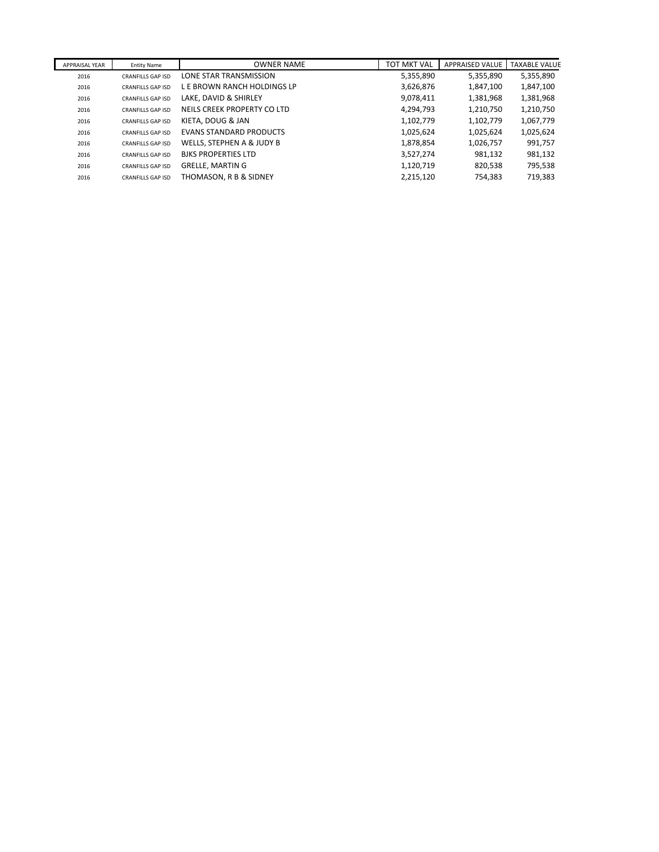| <b>Entity Name</b><br><b>APPRAISAL YEAR</b> | <b>OWNER NAME</b>           | TOT MKT VAL | <b>APPRAISED VALUE</b> | <b>TAXABLE VALUE</b> |
|---------------------------------------------|-----------------------------|-------------|------------------------|----------------------|
| <b>CRANFILLS GAP ISD</b>                    | LONE STAR TRANSMISSION      | 5,355,890   | 5,355,890              | 5,355,890            |
| <b>CRANFILLS GAP ISD</b>                    | LE BROWN RANCH HOLDINGS LP  | 3,626,876   | 1,847,100              | 1,847,100            |
| <b>CRANFILLS GAP ISD</b>                    | LAKE, DAVID & SHIRLEY       | 9,078,411   | 1,381,968              | 1,381,968            |
| <b>CRANFILLS GAP ISD</b>                    | NEILS CREEK PROPERTY CO LTD | 4.294.793   | 1,210,750              | 1,210,750            |
| <b>CRANFILLS GAP ISD</b>                    | KIETA, DOUG & JAN           | 1,102,779   | 1,102,779              | 1,067,779            |
| <b>CRANFILLS GAP ISD</b>                    | EVANS STANDARD PRODUCTS     | 1,025,624   | 1.025.624              | 1,025,624            |
| <b>CRANFILLS GAP ISD</b>                    | WELLS, STEPHEN A & JUDY B   | 1,878,854   | 1,026,757              | 991,757              |
| <b>CRANFILLS GAP ISD</b>                    | <b>BJKS PROPERTIES LTD</b>  | 3,527,274   | 981.132                | 981,132              |
| <b>CRANFILLS GAP ISD</b>                    | <b>GRELLE, MARTIN G</b>     | 1,120,719   | 820.538                | 795,538              |
| <b>CRANFILLS GAP ISD</b>                    | THOMASON. R B & SIDNEY      | 2,215,120   | 754.383                | 719,383              |
|                                             |                             |             |                        |                      |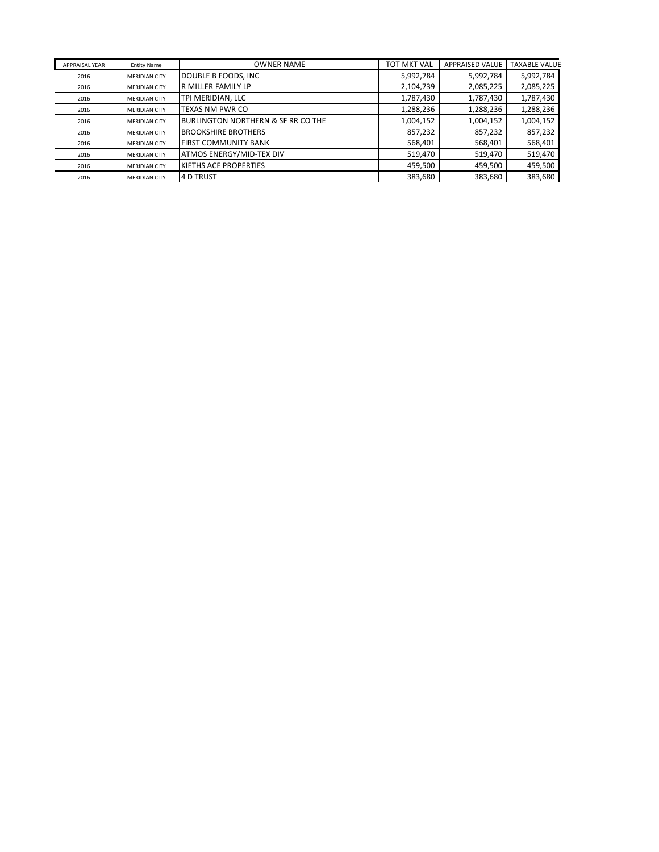| <b>APPRAISAL YEAR</b> | <b>Entity Name</b>   | <b>OWNER NAME</b>                             | <b>TOT MKT VAL</b> | <b>APPRAISED VALUE</b> | <b>TAXABLE VALUE</b> |
|-----------------------|----------------------|-----------------------------------------------|--------------------|------------------------|----------------------|
| 2016                  | <b>MERIDIAN CITY</b> | DOUBLE B FOODS, INC                           | 5,992,784          | 5,992,784              | 5,992,784            |
| 2016                  | <b>MERIDIAN CITY</b> | <b>R MILLER FAMILY LP</b>                     | 2,104,739          | 2,085,225              | 2,085,225            |
| 2016                  | <b>MERIDIAN CITY</b> | TPI MERIDIAN, LLC                             | 1,787,430          | 1,787,430              | 1,787,430            |
| 2016                  | <b>MERIDIAN CITY</b> | TEXAS NM PWR CO                               | 1,288,236          | 1,288,236              | 1,288,236            |
| 2016                  | <b>MERIDIAN CITY</b> | <b>BURLINGTON NORTHERN &amp; SF RR CO THE</b> | 1,004,152          | 1,004,152              | 1,004,152            |
| 2016                  | <b>MERIDIAN CITY</b> | <b>BROOKSHIRE BROTHERS</b>                    | 857,232            | 857,232                | 857,232              |
| 2016                  | <b>MERIDIAN CITY</b> | <b>FIRST COMMUNITY BANK</b>                   | 568,401            | 568,401                | 568,401              |
| 2016                  | <b>MERIDIAN CITY</b> | ATMOS ENERGY/MID-TEX DIV                      | 519,470            | 519,470                | 519,470              |
| 2016                  | <b>MERIDIAN CITY</b> | KIETHS ACE PROPERTIES                         | 459,500            | 459,500                | 459,500              |
| 2016                  | <b>MERIDIAN CITY</b> | 4 D TRUST                                     | 383,680            | 383,680                | 383,680              |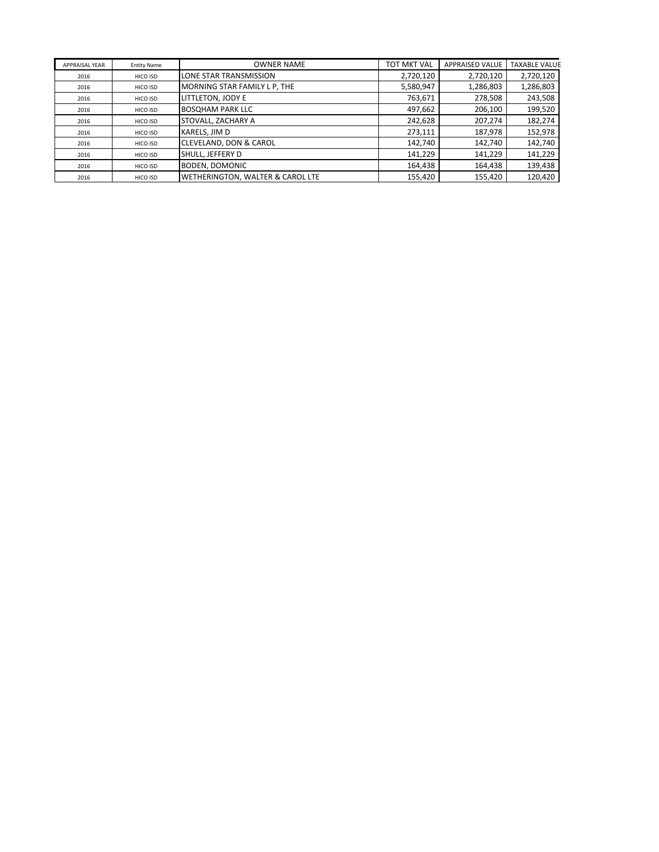| <b>APPRAISAL YEAR</b> | <b>Entity Name</b> | <b>OWNER NAME</b>                 | <b>TOT MKT VAL</b> | <b>APPRAISED VALUE</b> | <b>TAXABLE VALUE</b> |
|-----------------------|--------------------|-----------------------------------|--------------------|------------------------|----------------------|
| 2016                  | HICO ISD           | LONE STAR TRANSMISSION            | 2,720,120          | 2,720,120              | 2,720,120            |
| 2016                  | HICO ISD           | MORNING STAR FAMILY L P, THE      | 5,580,947          | 1,286,803              | 1,286,803            |
| 2016                  | HICO ISD           | LITTLETON, JODY E                 | 763,671            | 278,508                | 243,508              |
| 2016                  | HICO ISD           | <b>BOSOHAM PARK LLC</b>           | 497,662            | 206,100                | 199,520              |
| 2016                  | HICO ISD           | STOVALL, ZACHARY A                | 242,628            | 207,274                | 182,274              |
| 2016                  | HICO ISD           | KARELS, JIM D                     | 273,111            | 187,978                | 152,978              |
| 2016                  | HICO ISD           | <b>CLEVELAND, DON &amp; CAROL</b> | 142,740            | 142,740                | 142,740              |
| 2016                  | HICO ISD           | SHULL, JEFFERY D                  | 141,229            | 141,229                | 141,229              |
| 2016                  | HICO ISD           | <b>BODEN, DOMONIC</b>             | 164,438            | 164,438                | 139,438              |
| 2016                  | HICO ISD           | WETHERINGTON, WALTER & CAROL LTE  | 155,420            | 155,420                | 120,420              |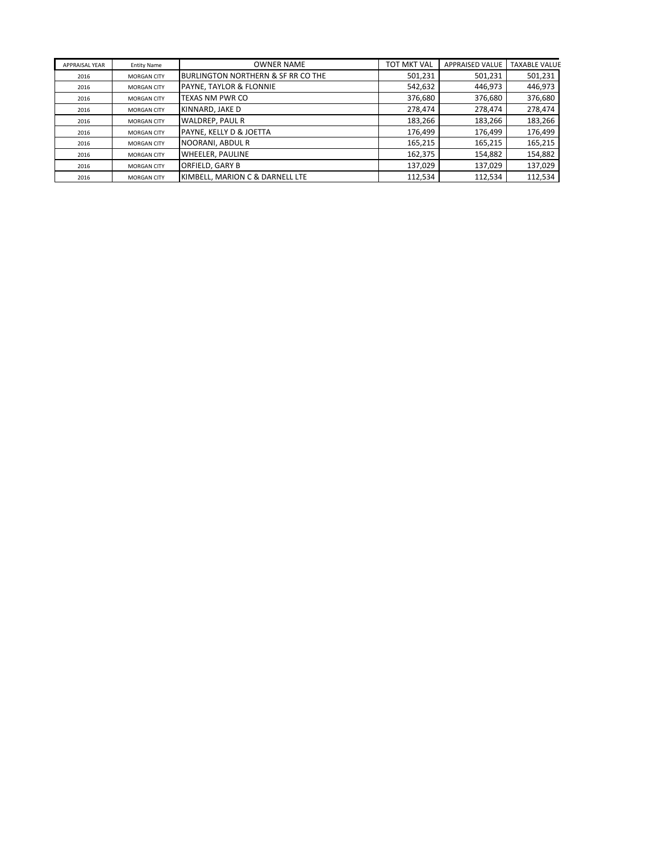| <b>APPRAISAL YEAR</b> | <b>Entity Name</b> | <b>OWNER NAME</b>                  | <b>TOT MKT VAL</b> | <b>APPRAISED VALUE</b> | TAXABLE VALUE |
|-----------------------|--------------------|------------------------------------|--------------------|------------------------|---------------|
| 2016                  | <b>MORGAN CITY</b> | BURLINGTON NORTHERN & SF RR CO THE | 501,231            | 501,231                | 501,231       |
| 2016                  | <b>MORGAN CITY</b> | PAYNE, TAYLOR & FLONNIE            | 542,632            | 446,973                | 446,973       |
| 2016                  | <b>MORGAN CITY</b> | <b>TEXAS NM PWR CO</b>             | 376,680            | 376,680                | 376,680       |
| 2016                  | <b>MORGAN CITY</b> | KINNARD, JAKE D                    | 278,474            | 278,474                | 278,474       |
| 2016                  | <b>MORGAN CITY</b> | <b>WALDREP, PAUL R</b>             | 183,266            | 183,266                | 183,266       |
| 2016                  | <b>MORGAN CITY</b> | <b>PAYNE. KELLY D &amp; JOETTA</b> | 176,499            | 176,499                | 176,499       |
| 2016                  | <b>MORGAN CITY</b> | <b>NOORANI, ABDUL R</b>            | 165,215            | 165,215                | 165,215       |
| 2016                  | <b>MORGAN CITY</b> | <b>WHEELER, PAULINE</b>            | 162,375            | 154,882                | 154,882       |
| 2016                  | <b>MORGAN CITY</b> | ORFIELD, GARY B                    | 137,029            | 137,029                | 137,029       |
| 2016                  | <b>MORGAN CITY</b> | KIMBELL, MARION C & DARNELL LTE    | 112,534            | 112,534                | 112,534       |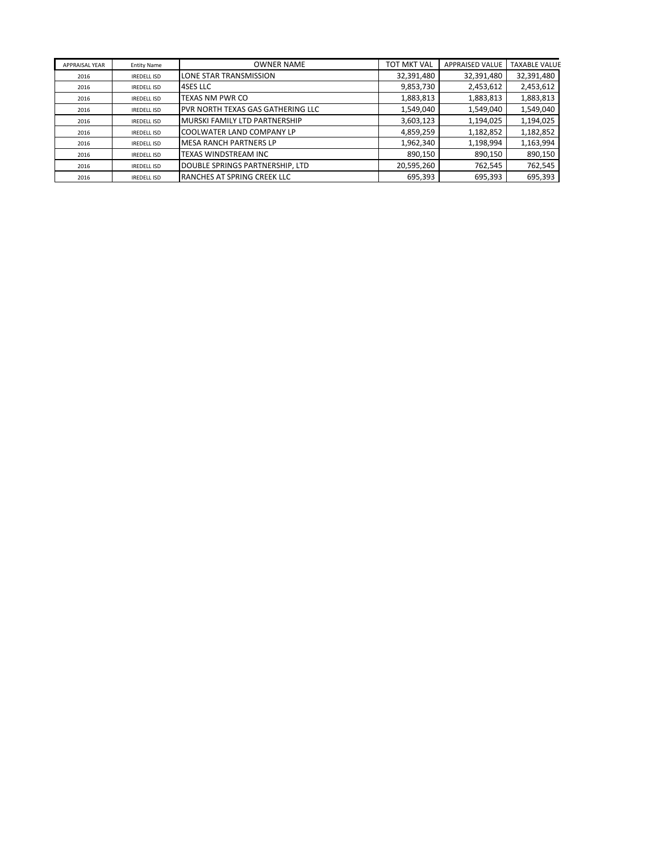| <b>APPRAISAL YEAR</b> | <b>Entity Name</b> | <b>OWNER NAME</b>                  | <b>TOT MKT VAL</b> | <b>APPRAISED VALUE</b> | <b>TAXABLE VALUE</b> |
|-----------------------|--------------------|------------------------------------|--------------------|------------------------|----------------------|
| 2016                  | <b>IREDELL ISD</b> | LONE STAR TRANSMISSION             | 32,391,480         | 32,391,480             | 32,391,480           |
| 2016                  | <b>IREDELL ISD</b> | <b>4SES LLC</b>                    | 9,853,730          | 2,453,612              | 2,453,612            |
| 2016                  | <b>IREDELL ISD</b> | TEXAS NM PWR CO                    | 1,883,813          | 1,883,813              | 1,883,813            |
| 2016                  | <b>IREDELL ISD</b> | PVR NORTH TEXAS GAS GATHERING LLC  | 1,549,040          | 1,549,040              | 1,549,040            |
| 2016                  | <b>IREDELL ISD</b> | MURSKI FAMILY LTD PARTNERSHIP      | 3,603,123          | 1,194,025              | 1,194,025            |
| 2016                  | <b>IREDELL ISD</b> | <b>COOLWATER LAND COMPANY LP</b>   | 4,859,259          | 1,182,852              | 1,182,852            |
| 2016                  | <b>IREDELL ISD</b> | <b>MESA RANCH PARTNERS LP</b>      | 1,962,340          | 1,198,994              | 1,163,994            |
| 2016                  | <b>IREDELL ISD</b> | <b>TEXAS WINDSTREAM INC</b>        | 890,150            | 890,150                | 890,150              |
| 2016                  | <b>IREDELL ISD</b> | DOUBLE SPRINGS PARTNERSHIP, LTD    | 20,595,260         | 762,545                | 762,545              |
| 2016                  | <b>IREDELL ISD</b> | <b>RANCHES AT SPRING CREEK LLC</b> | 695,393            | 695,393                | 695,393              |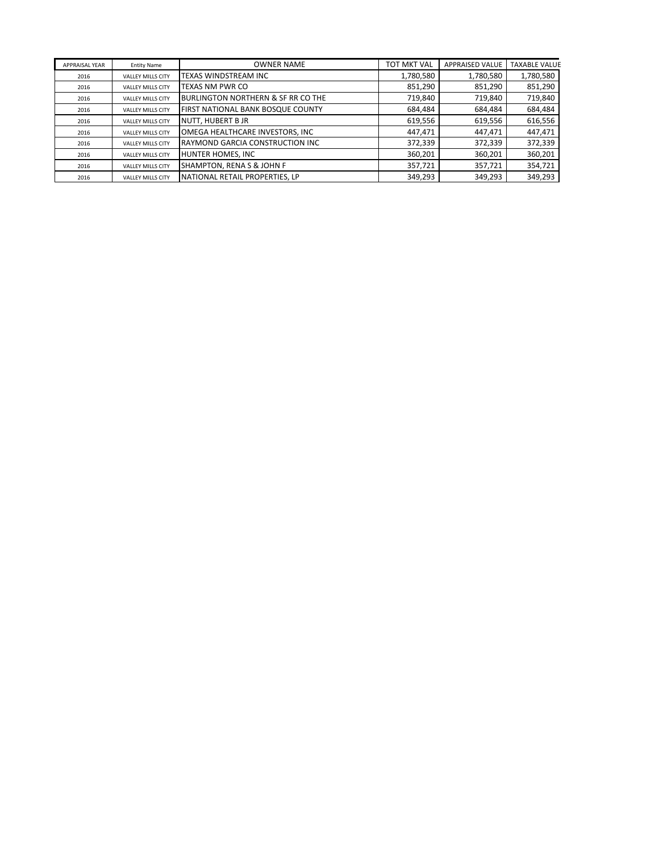| <b>APPRAISAL YEAR</b> | <b>Entity Name</b>       | <b>OWNER NAME</b>                             | <b>TOT MKT VAL</b> | <b>APPRAISED VALUE</b> | <b>TAXABLE VALUE</b> |
|-----------------------|--------------------------|-----------------------------------------------|--------------------|------------------------|----------------------|
| 2016                  | <b>VALLEY MILLS CITY</b> | TEXAS WINDSTREAM INC                          | 1,780,580          | 1,780,580              | 1,780,580            |
| 2016                  | <b>VALLEY MILLS CITY</b> | TEXAS NM PWR CO                               | 851,290            | 851,290                | 851,290              |
| 2016                  | <b>VALLEY MILLS CITY</b> | <b>BURLINGTON NORTHERN &amp; SF RR CO THE</b> | 719,840            | 719,840                | 719,840              |
| 2016                  | <b>VALLEY MILLS CITY</b> | <b>FIRST NATIONAL BANK BOSQUE COUNTY</b>      | 684,484            | 684,484                | 684,484              |
| 2016                  | <b>VALLEY MILLS CITY</b> | NUTT. HUBERT B JR                             | 619,556            | 619,556                | 616,556              |
| 2016                  | <b>VALLEY MILLS CITY</b> | OMEGA HEALTHCARE INVESTORS, INC               | 447,471            | 447,471                | 447,471              |
| 2016                  | <b>VALLEY MILLS CITY</b> | <b>RAYMOND GARCIA CONSTRUCTION INC</b>        | 372,339            | 372,339                | 372,339              |
| 2016                  | <b>VALLEY MILLS CITY</b> | HUNTER HOMES, INC                             | 360,201            | 360,201                | 360,201              |
| 2016                  | <b>VALLEY MILLS CITY</b> | <b>SHAMPTON, RENA S &amp; JOHN F</b>          | 357,721            | 357,721                | 354,721              |
| 2016                  | <b>VALLEY MILLS CITY</b> | NATIONAL RETAIL PROPERTIES. LP                | 349,293            | 349,293                | 349,293              |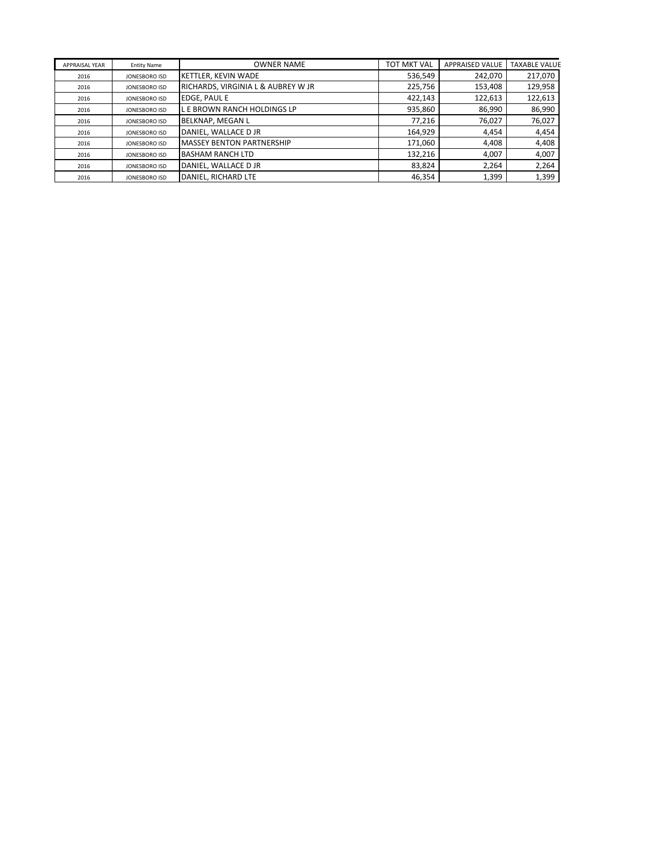| <b>APPRAISAL YEAR</b> | <b>Entity Name</b> | <b>OWNER NAME</b>                  | <b>TOT MKT VAL</b> | <b>APPRAISED VALUE</b> | <b>TAXABLE VALUE</b> |
|-----------------------|--------------------|------------------------------------|--------------------|------------------------|----------------------|
| 2016                  | JONESBORO ISD      | KETTLER, KEVIN WADE                | 536,549            | 242,070                | 217,070              |
| 2016                  | JONESBORO ISD      | RICHARDS, VIRGINIA L & AUBREY W JR | 225,756            | 153,408                | 129,958              |
| 2016                  | JONESBORO ISD      | EDGE, PAUL E                       | 422,143            | 122,613                | 122,613              |
| 2016                  | JONESBORO ISD      | L E BROWN RANCH HOLDINGS LP        | 935,860            | 86,990                 | 86,990               |
| 2016                  | JONESBORO ISD      | <b>BELKNAP, MEGAN L</b>            | 77,216             | 76,027                 | 76,027               |
| 2016                  | JONESBORO ISD      | DANIEL, WALLACE D JR               | 164,929            | 4,454                  | 4,454                |
| 2016                  | JONESBORO ISD      | <b>MASSEY BENTON PARTNERSHIP</b>   | 171,060            | 4,408                  | 4,408                |
| 2016                  | JONESBORO ISD      | <b>BASHAM RANCH LTD</b>            | 132,216            | 4,007                  | 4,007                |
| 2016                  | JONESBORO ISD      | DANIEL, WALLACE D JR               | 83,824             | 2.264                  | 2,264                |
| 2016                  | JONESBORO ISD      | DANIEL, RICHARD LTE                | 46,354             | 1,399                  | 1,399                |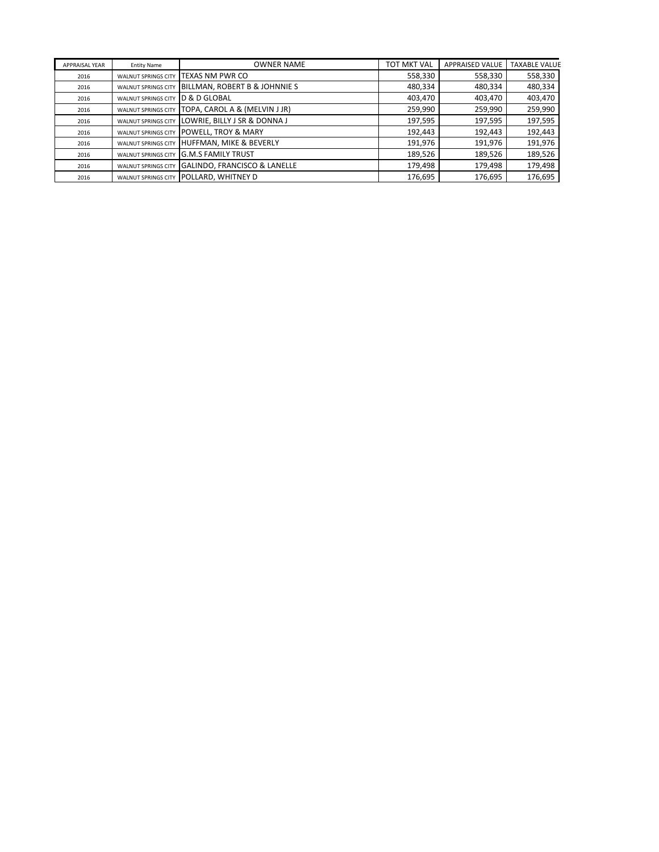| <b>APPRAISAL YEAR</b> | <b>Entity Name</b>         | <b>OWNER NAME</b>              | <b>TOT MKT VAL</b> | <b>APPRAISED VALUE</b> | <b>TAXABLE VALUE</b> |
|-----------------------|----------------------------|--------------------------------|--------------------|------------------------|----------------------|
| 2016                  | <b>WALNUT SPRINGS CITY</b> | TEXAS NM PWR CO                | 558,330            | 558,330                | 558,330              |
| 2016                  | <b>WALNUT SPRINGS CITY</b> | BILLMAN, ROBERT B & JOHNNIE S  | 480,334            | 480,334                | 480,334              |
| 2016                  | <b>WALNUT SPRINGS CITY</b> | D & D GLOBAL                   | 403,470            | 403,470                | 403,470              |
| 2016                  | <b>WALNUT SPRINGS CITY</b> | TOPA, CAROL A & (MELVIN J JR)  | 259,990            | 259,990                | 259,990              |
| 2016                  | <b>WALNUT SPRINGS CITY</b> | LOWRIE, BILLY J SR & DONNA J   | 197,595            | 197,595                | 197,595              |
| 2016                  | <b>WALNUT SPRINGS CITY</b> | <b>POWELL. TROY &amp; MARY</b> | 192,443            | 192,443                | 192,443              |
| 2016                  | <b>WALNUT SPRINGS CITY</b> | HUFFMAN, MIKE & BEVERLY        | 191,976            | 191,976                | 191,976              |
| 2016                  | <b>WALNUT SPRINGS CITY</b> | <b>G.M.S FAMILY TRUST</b>      | 189,526            | 189,526                | 189,526              |
| 2016                  | <b>WALNUT SPRINGS CITY</b> | GALINDO, FRANCISCO & LANELLE   | 179,498            | 179,498                | 179,498              |
| 2016                  | <b>WALNUT SPRINGS CITY</b> | POLLARD, WHITNEY D             | 176,695            | 176,695                | 176,695              |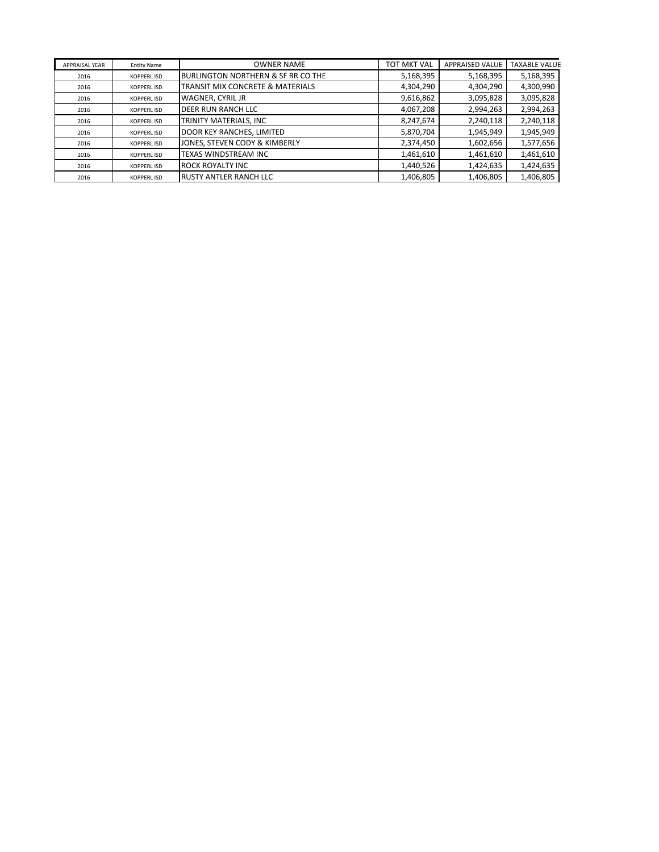| <b>APPRAISAL YEAR</b> | <b>Entity Name</b> | <b>OWNER NAME</b>                             | <b>TOT MKT VAL</b> | <b>APPRAISED VALUE</b> | <b>TAXABLE VALUE</b> |
|-----------------------|--------------------|-----------------------------------------------|--------------------|------------------------|----------------------|
| 2016                  | <b>KOPPERLISD</b>  | <b>BURLINGTON NORTHERN &amp; SF RR CO THE</b> | 5,168,395          | 5,168,395              | 5,168,395            |
| 2016                  | <b>KOPPERLISD</b>  | TRANSIT MIX CONCRETE & MATERIALS              | 4,304,290          | 4,304,290              | 4,300,990            |
| 2016                  | <b>KOPPERLISD</b>  | WAGNER, CYRIL JR                              | 9,616,862          | 3,095,828              | 3,095,828            |
| 2016                  | <b>KOPPERLISD</b>  | <b>DEER RUN RANCH LLC</b>                     | 4,067,208          | 2,994,263              | 2,994,263            |
| 2016                  | <b>KOPPERLISD</b>  | TRINITY MATERIALS, INC                        | 8,247,674          | 2,240,118              | 2,240,118            |
| 2016                  | <b>KOPPERLISD</b>  | DOOR KEY RANCHES, LIMITED                     | 5,870,704          | 1,945,949              | 1,945,949            |
| 2016                  | <b>KOPPERLISD</b>  | JONES, STEVEN CODY & KIMBERLY                 | 2,374,450          | 1,602,656              | 1,577,656            |
| 2016                  | <b>KOPPERLISD</b>  | <b>TEXAS WINDSTREAM INC</b>                   | 1,461,610          | 1,461,610              | 1,461,610            |
| 2016                  | <b>KOPPERLISD</b>  | <b>ROCK ROYALTY INC</b>                       | 1,440,526          | 1,424,635              | 1,424,635            |
| 2016                  | <b>KOPPERLISD</b>  | <b>RUSTY ANTLER RANCH LLC</b>                 | 1,406,805          | 1,406,805              | 1,406,805            |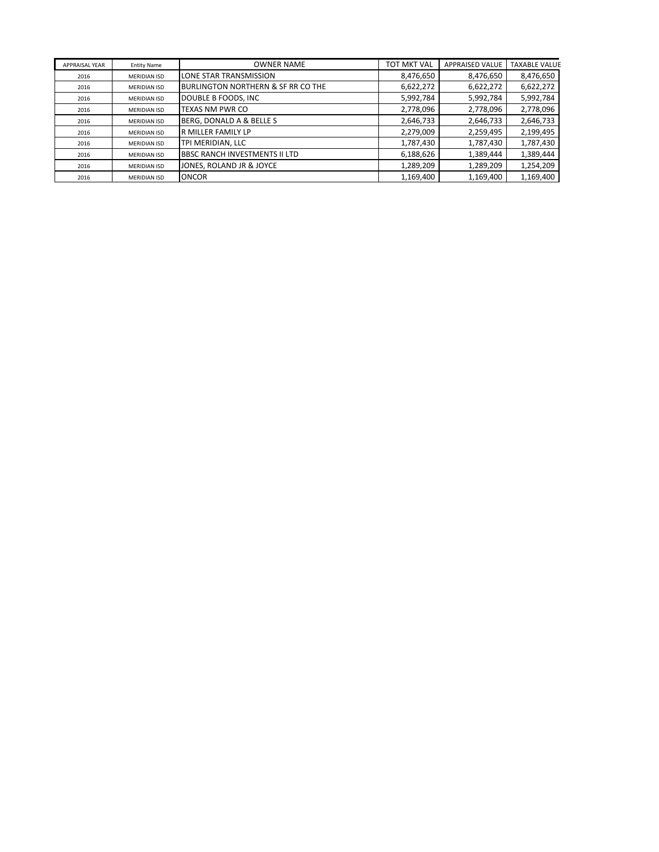| <b>APPRAISAL YEAR</b> | <b>Entity Name</b>  | <b>OWNER NAME</b>                             | <b>TOT MKT VAL</b> | <b>APPRAISED VALUE</b> | <b>TAXABLE VALUE</b> |
|-----------------------|---------------------|-----------------------------------------------|--------------------|------------------------|----------------------|
| 2016                  | <b>MERIDIAN ISD</b> | LONE STAR TRANSMISSION                        | 8,476,650          | 8,476,650              | 8,476,650            |
| 2016                  | <b>MERIDIAN ISD</b> | <b>BURLINGTON NORTHERN &amp; SF RR CO THE</b> | 6,622,272          | 6,622,272              | 6,622,272            |
| 2016                  | <b>MERIDIAN ISD</b> | DOUBLE B FOODS, INC                           | 5,992,784          | 5,992,784              | 5,992,784            |
| 2016                  | <b>MERIDIAN ISD</b> | TEXAS NM PWR CO                               | 2,778,096          | 2,778,096              | 2,778,096            |
| 2016                  | <b>MERIDIAN ISD</b> | BERG, DONALD A & BELLE S                      | 2,646,733          | 2,646,733              | 2,646,733            |
| 2016                  | <b>MERIDIAN ISD</b> | R MILLER FAMILY LP                            | 2,279,009          | 2,259,495              | 2,199,495            |
| 2016                  | <b>MERIDIAN ISD</b> | TPI MERIDIAN, LLC                             | 1,787,430          | 1,787,430              | 1,787,430            |
| 2016                  | <b>MERIDIAN ISD</b> | <b>BBSC RANCH INVESTMENTS II LTD</b>          | 6,188,626          | 1,389,444              | 1,389,444            |
| 2016                  | <b>MERIDIAN ISD</b> | JONES, ROLAND JR & JOYCE                      | 1,289,209          | 1,289,209              | 1,254,209            |
| 2016                  | <b>MERIDIAN ISD</b> | <b>ONCOR</b>                                  | 1,169,400          | 1,169,400              | 1,169,400            |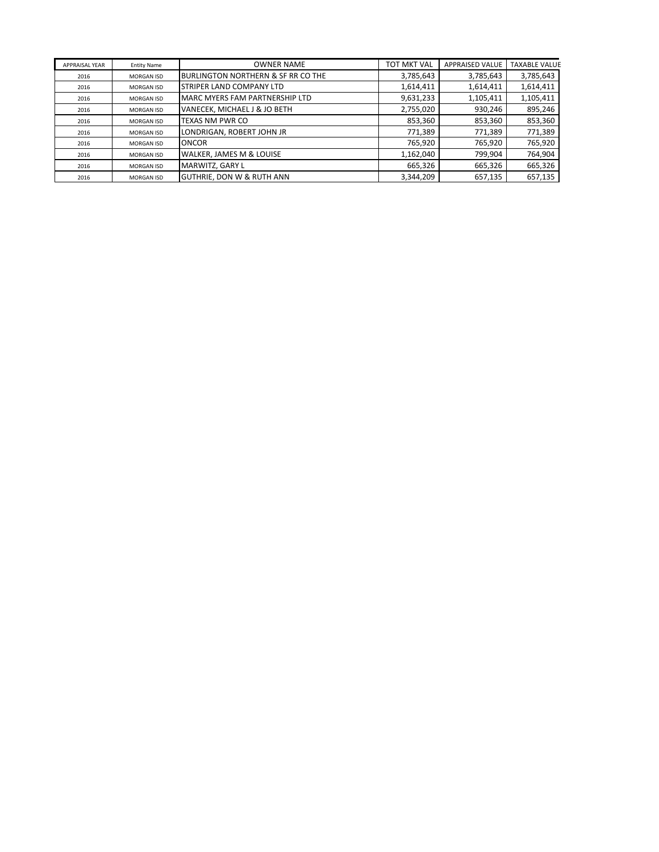| <b>APPRAISAL YEAR</b> | <b>Entity Name</b> | <b>OWNER NAME</b>                             | <b>TOT MKT VAL</b> | <b>APPRAISED VALUE</b> | <b>TAXABLE VALUE</b> |
|-----------------------|--------------------|-----------------------------------------------|--------------------|------------------------|----------------------|
| 2016                  | <b>MORGAN ISD</b>  | <b>BURLINGTON NORTHERN &amp; SF RR CO THE</b> | 3,785,643          | 3,785,643              | 3,785,643            |
| 2016                  | <b>MORGAN ISD</b>  | <b>STRIPER LAND COMPANY LTD</b>               | 1,614,411          | 1,614,411              | 1,614,411            |
| 2016                  | <b>MORGAN ISD</b>  | MARC MYERS FAM PARTNERSHIP LTD                | 9,631,233          | 1,105,411              | 1,105,411            |
| 2016                  | <b>MORGAN ISD</b>  | VANECEK, MICHAEL J & JO BETH                  | 2,755,020          | 930,246                | 895,246              |
| 2016                  | <b>MORGAN ISD</b>  | TEXAS NM PWR CO                               | 853,360            | 853,360                | 853,360              |
| 2016                  | <b>MORGAN ISD</b>  | LONDRIGAN, ROBERT JOHN JR                     | 771,389            | 771,389                | 771,389              |
| 2016                  | <b>MORGAN ISD</b>  | <b>ONCOR</b>                                  | 765,920            | 765,920                | 765,920              |
| 2016                  | <b>MORGAN ISD</b>  | WALKER, JAMES M & LOUISE                      | 1,162,040          | 799,904                | 764,904              |
| 2016                  | <b>MORGAN ISD</b>  | MARWITZ, GARY L                               | 665,326            | 665,326                | 665,326              |
| 2016                  | <b>MORGAN ISD</b>  | <b>GUTHRIE, DON W &amp; RUTH ANN</b>          | 3,344,209          | 657,135                | 657,135              |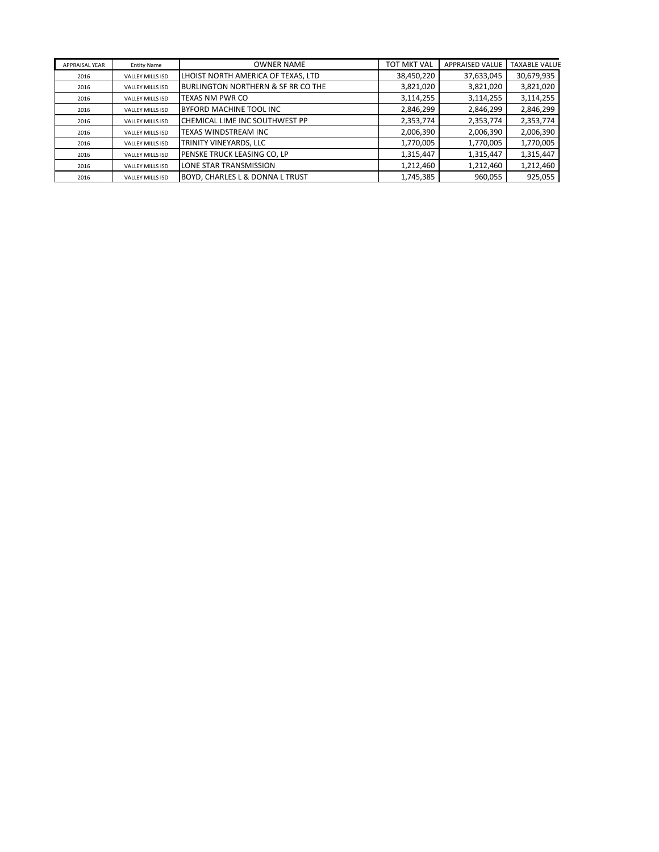| <b>APPRAISAL YEAR</b> | <b>Entity Name</b>      | <b>OWNER NAME</b>                             | <b>TOT MKT VAL</b> | <b>APPRAISED VALUE</b> | <b>TAXABLE VALUE</b> |
|-----------------------|-------------------------|-----------------------------------------------|--------------------|------------------------|----------------------|
| 2016                  | <b>VALLEY MILLS ISD</b> | LHOIST NORTH AMERICA OF TEXAS, LTD            | 38,450,220         | 37,633,045             | 30,679,935           |
| 2016                  | <b>VALLEY MILLS ISD</b> | <b>BURLINGTON NORTHERN &amp; SF RR CO THE</b> | 3,821,020          | 3,821,020              | 3,821,020            |
| 2016                  | <b>VALLEY MILLS ISD</b> | TEXAS NM PWR CO                               | 3,114,255          | 3,114,255              | 3,114,255            |
| 2016                  | <b>VALLEY MILLS ISD</b> | BYFORD MACHINE TOOL INC                       | 2,846,299          | 2,846,299              | 2,846,299            |
| 2016                  | <b>VALLEY MILLS ISD</b> | CHEMICAL LIME INC SOUTHWEST PP                | 2,353,774          | 2,353,774              | 2,353,774            |
| 2016                  | <b>VALLEY MILLS ISD</b> | TEXAS WINDSTREAM INC                          | 2,006,390          | 2,006,390              | 2,006,390            |
| 2016                  | <b>VALLEY MILLS ISD</b> | TRINITY VINEYARDS, LLC                        | 1,770,005          | 1,770,005              | 1,770,005            |
| 2016                  | <b>VALLEY MILLS ISD</b> | PENSKE TRUCK LEASING CO, LP                   | 1,315,447          | 1,315,447              | 1,315,447            |
| 2016                  | <b>VALLEY MILLS ISD</b> | LONE STAR TRANSMISSION                        | 1,212,460          | 1,212,460              | 1,212,460            |
| 2016                  | <b>VALLEY MILLS ISD</b> | BOYD, CHARLES L & DONNA L TRUST               | 1,745,385          | 960,055                | 925,055              |